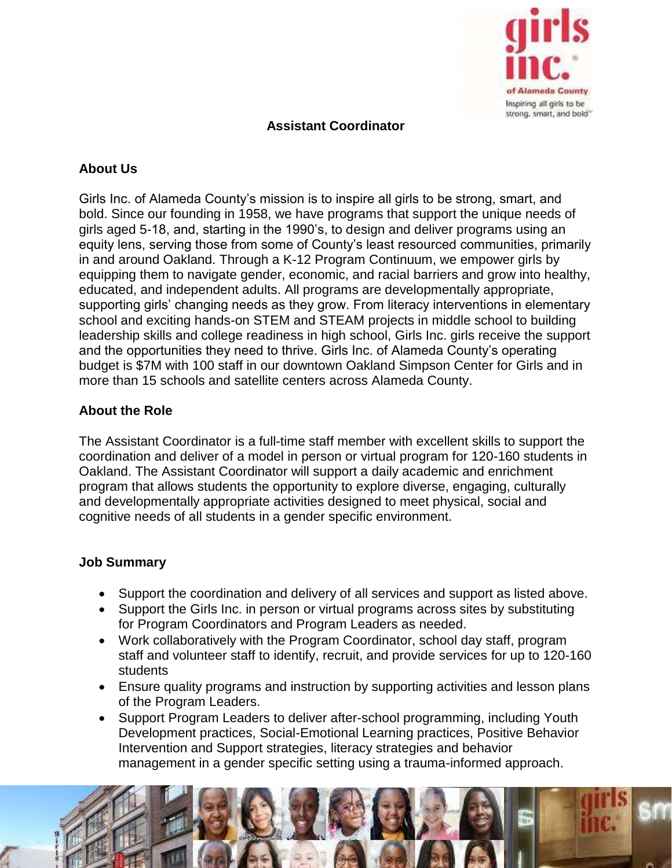

# **Assistant Coordinator**

# **About Us**

Girls Inc. of Alameda County's mission is to inspire all girls to be strong, smart, and bold. Since our founding in 1958, we have programs that support the unique needs of girls aged 5-18, and, starting in the 1990's, to design and deliver programs using an equity lens, serving those from some of County's least resourced communities, primarily in and around Oakland. Through a K-12 Program Continuum, we empower girls by equipping them to navigate gender, economic, and racial barriers and grow into healthy, educated, and independent adults. All programs are developmentally appropriate, supporting girls' changing needs as they grow. From literacy interventions in elementary school and exciting hands-on STEM and STEAM projects in middle school to building leadership skills and college readiness in high school, Girls Inc. girls receive the support and the opportunities they need to thrive. Girls Inc. of Alameda County's operating budget is \$7M with 100 staff in our downtown Oakland Simpson Center for Girls and in more than 15 schools and satellite centers across Alameda County.

### **About the Role**

The Assistant Coordinator is a full-time staff member with excellent skills to support the coordination and deliver of a model in person or virtual program for 120-160 students in Oakland. The Assistant Coordinator will support a daily academic and enrichment program that allows students the opportunity to explore diverse, engaging, culturally and developmentally appropriate activities designed to meet physical, social and cognitive needs of all students in a gender specific environment.

### **Job Summary**

- Support the coordination and delivery of all services and support as listed above.
- Support the Girls Inc. in person or virtual programs across sites by substituting for Program Coordinators and Program Leaders as needed.
- Work collaboratively with the Program Coordinator, school day staff, program staff and volunteer staff to identify, recruit, and provide services for up to 120-160 students
- Ensure quality programs and instruction by supporting activities and lesson plans of the Program Leaders.
- Support Program Leaders to deliver after-school programming, including Youth Development practices, Social-Emotional Learning practices, Positive Behavior Intervention and Support strategies, literacy strategies and behavior management in a gender specific setting using a trauma-informed approach.

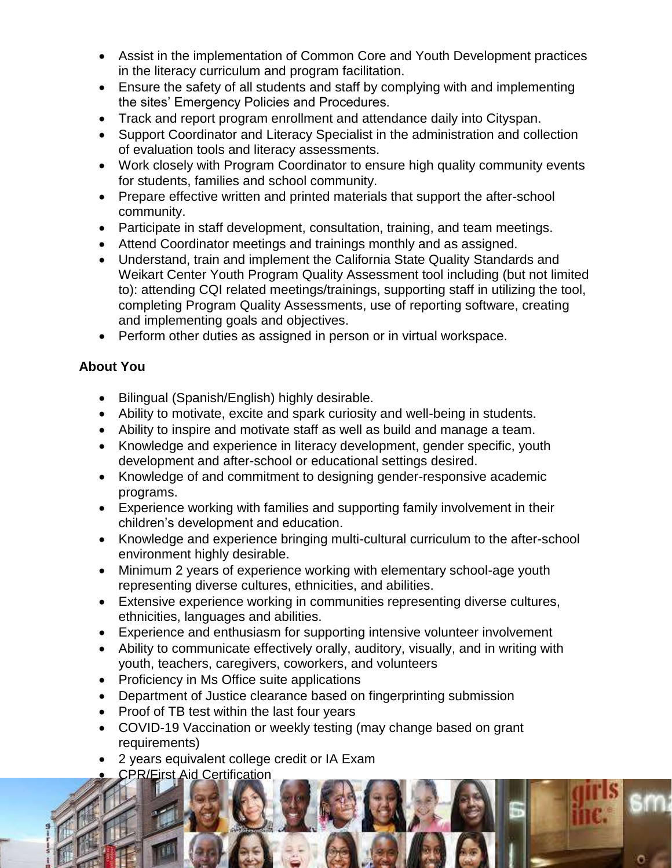- Assist in the implementation of Common Core and Youth Development practices in the literacy curriculum and program facilitation.
- Ensure the safety of all students and staff by complying with and implementing the sites' Emergency Policies and Procedures.
- Track and report program enrollment and attendance daily into Cityspan.
- Support Coordinator and Literacy Specialist in the administration and collection of evaluation tools and literacy assessments.
- Work closely with Program Coordinator to ensure high quality community events for students, families and school community.
- Prepare effective written and printed materials that support the after-school community.
- Participate in staff development, consultation, training, and team meetings.
- Attend Coordinator meetings and trainings monthly and as assigned.
- Understand, train and implement the California State Quality Standards and Weikart Center Youth Program Quality Assessment tool including (but not limited to): attending CQI related meetings/trainings, supporting staff in utilizing the tool, completing Program Quality Assessments, use of reporting software, creating and implementing goals and objectives.
- Perform other duties as assigned in person or in virtual workspace.

# **About You**

- Bilingual (Spanish/English) highly desirable.
- Ability to motivate, excite and spark curiosity and well-being in students.
- Ability to inspire and motivate staff as well as build and manage a team.
- Knowledge and experience in literacy development, gender specific, youth development and after-school or educational settings desired.
- Knowledge of and commitment to designing gender-responsive academic programs.
- Experience working with families and supporting family involvement in their children's development and education.
- Knowledge and experience bringing multi-cultural curriculum to the after-school environment highly desirable.
- Minimum 2 years of experience working with elementary school-age youth representing diverse cultures, ethnicities, and abilities.
- Extensive experience working in communities representing diverse cultures, ethnicities, languages and abilities.
- Experience and enthusiasm for supporting intensive volunteer involvement
- Ability to communicate effectively orally, auditory, visually, and in writing with youth, teachers, caregivers, coworkers, and volunteers
- Proficiency in Ms Office suite applications
- Department of Justice clearance based on fingerprinting submission
- Proof of TB test within the last four years
- COVID-19 Vaccination or weekly testing (may change based on grant requirements)
- 2 years equivalent college credit or IA Exam
- CPR/First Aid Certification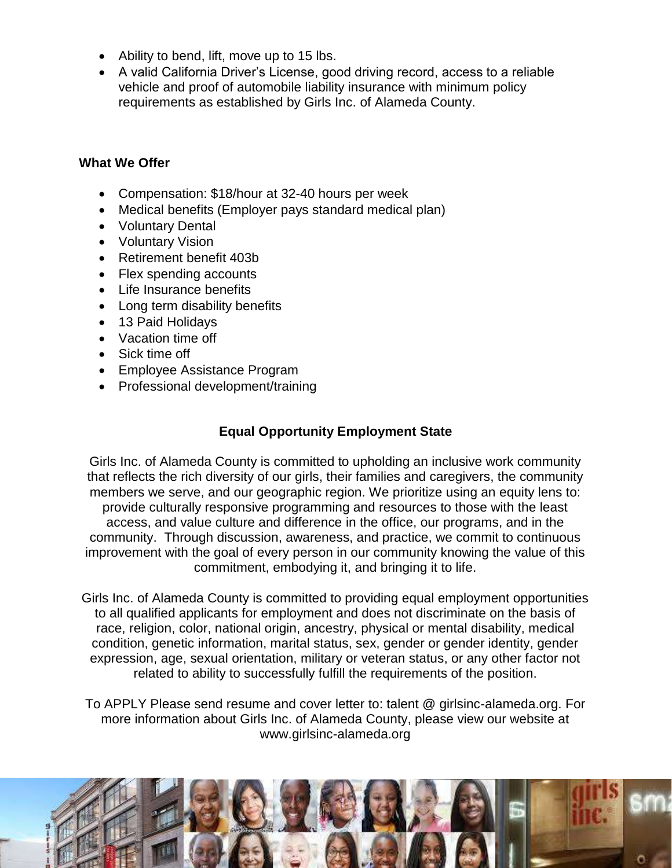- Ability to bend, lift, move up to 15 lbs.
- A valid California Driver's License, good driving record, access to a reliable vehicle and proof of automobile liability insurance with minimum policy requirements as established by Girls Inc. of Alameda County.

#### **What We Offer**

- Compensation: \$18/hour at 32-40 hours per week
- Medical benefits (Employer pays standard medical plan)
- Voluntary Dental
- Voluntary Vision
- Retirement benefit 403b
- Flex spending accounts
- Life Insurance benefits
- Long term disability benefits
- 13 Paid Holidays
- Vacation time off
- Sick time off
- Employee Assistance Program
- Professional development/training

# **Equal Opportunity Employment State**

Girls Inc. of Alameda County is committed to upholding an inclusive work community that reflects the rich diversity of our girls, their families and caregivers, the community members we serve, and our geographic region. We prioritize using an equity lens to: provide culturally responsive programming and resources to those with the least access, and value culture and difference in the office, our programs, and in the community. Through discussion, awareness, and practice, we commit to continuous improvement with the goal of every person in our community knowing the value of this commitment, embodying it, and bringing it to life.

Girls Inc. of Alameda County is committed to providing equal employment opportunities to all qualified applicants for employment and does not discriminate on the basis of race, religion, color, national origin, ancestry, physical or mental disability, medical condition, genetic information, marital status, sex, gender or gender identity, gender expression, age, sexual orientation, military or veteran status, or any other factor not related to ability to successfully fulfill the requirements of the position.

To APPLY Please send resume and cover letter to: talent @ girlsinc-alameda.org. For more information about Girls Inc. of Alameda County, please view our website at www.girlsinc-alameda.org